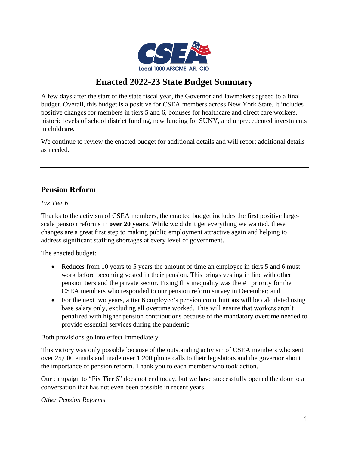

# **Enacted 2022-23 State Budget Summary**

A few days after the start of the state fiscal year, the Governor and lawmakers agreed to a final budget. Overall, this budget is a positive for CSEA members across New York State. It includes positive changes for members in tiers 5 and 6, bonuses for healthcare and direct care workers, historic levels of school district funding, new funding for SUNY, and unprecedented investments in childcare.

We continue to review the enacted budget for additional details and will report additional details as needed.

# **Pension Reform**

#### *Fix Tier 6*

Thanks to the activism of CSEA members, the enacted budget includes the first positive largescale pension reforms in **over 20 years**. While we didn't get everything we wanted, these changes are a great first step to making public employment attractive again and helping to address significant staffing shortages at every level of government.

The enacted budget:

- Reduces from 10 years to 5 years the amount of time an employee in tiers 5 and 6 must work before becoming vested in their pension. This brings vesting in line with other pension tiers and the private sector. Fixing this inequality was the #1 priority for the CSEA members who responded to our pension reform survey in December; and
- For the next two years, a tier 6 employee's pension contributions will be calculated using base salary only, excluding all overtime worked. This will ensure that workers aren't penalized with higher pension contributions because of the mandatory overtime needed to provide essential services during the pandemic.

Both provisions go into effect immediately.

This victory was only possible because of the outstanding activism of CSEA members who sent over 25,000 emails and made over 1,200 phone calls to their legislators and the governor about the importance of pension reform. Thank you to each member who took action.

Our campaign to "Fix Tier 6" does not end today, but we have successfully opened the door to a conversation that has not even been possible in recent years.

#### *Other Pension Reforms*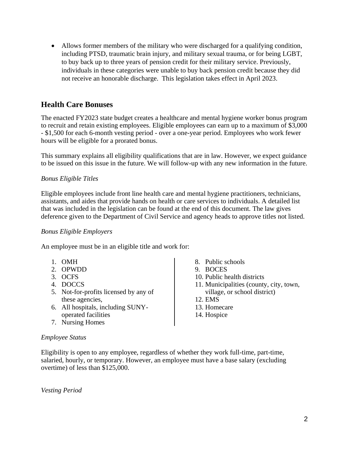• Allows former members of the military who were discharged for a qualifying condition, including PTSD, traumatic brain injury, and military sexual trauma, or for being LGBT, to buy back up to three years of pension credit for their military service. Previously, individuals in these categories were unable to buy back pension credit because they did not receive an honorable discharge. This legislation takes effect in April 2023.

# **Health Care Bonuses**

The enacted FY2023 state budget creates a healthcare and mental hygiene worker bonus program to recruit and retain existing employees. Eligible employees can earn up to a maximum of \$3,000 - \$1,500 for each 6-month vesting period - over a one-year period. Employees who work fewer hours will be eligible for a prorated bonus.

This summary explains all eligibility qualifications that are in law. However, we expect guidance to be issued on this issue in the future. We will follow-up with any new information in the future.

# *Bonus Eligible Titles*

Eligible employees include front line health care and mental hygiene practitioners, technicians, assistants, and aides that provide hands on health or care services to individuals. A detailed list that was included in the legislation can be found at the end of this document. The law gives deference given to the Department of Civil Service and agency heads to approve titles not listed.

#### *Bonus Eligible Employers*

An employee must be in an eligible title and work for:

- 1. OMH
- 2. OPWDD
- 3. OCFS
- 4. DOCCS
- 5. Not-for-profits licensed by any of these agencies,
- 6. All hospitals, including SUNYoperated facilities
- 7. Nursing Homes
- 8. Public schools
- 9. BOCES
- 10. Public health districts
- 11. Municipalities (county, city, town, village, or school district)
- 12. EMS
- 13. Homecare
- 14. Hospice

#### *Employee Status*

Eligibility is open to any employee, regardless of whether they work full-time, part-time, salaried, hourly, or temporary. However, an employee must have a base salary (excluding overtime) of less than \$125,000.

*Vesting Period*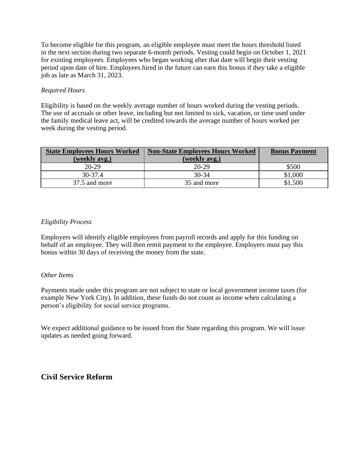To become eligible for this program, an eligible employee must meet the hours threshold listed in the next section during two separate 6-month periods. Vesting could begin on October 1, 2021 for existing employees. Employees who began working after that date will begin their vesting period upon date of hire. Employees hired in the future can earn this bonus if they take a eligible job as late as March 31, 2023.

#### *Required Hours*

Eligibility is based on the weekly average number of hours worked during the vesting periods. The use of accruals or other leave, including but not limited to sick, vacation, or time used under the family medical leave act, will be credited towards the average number of hours worked per week during the vesting period.

| <b>State Employees Hours Worked</b> | <b>Non-State Employees Hours Worked</b> | <b>Bonus Payment</b> |
|-------------------------------------|-----------------------------------------|----------------------|
| (weekly avg.)                       | (weekly avg.)                           |                      |
| $20-29$                             | $20-29$                                 | \$500                |
| $30-37.4$                           | $30 - 34$                               | \$1,000              |
| 37.5 and more                       | 35 and more                             | \$1,500              |

#### *Eligibility Process*

Employers will identify eligible employees from payroll records and apply for this funding on behalf of an employee. They will then remit payment to the employee. Employers must pay this bonus within 30 days of receiving the money from the state.

#### *Other Items*

Payments made under this program are not subject to state or local government income taxes (for example New York City). In addition, these funds do not count as income when calculating a person's eligibility for social service programs.

We expect additional guidance to be issued from the State regarding this program. We will issue updates as needed going forward.

# **Civil Service Reform**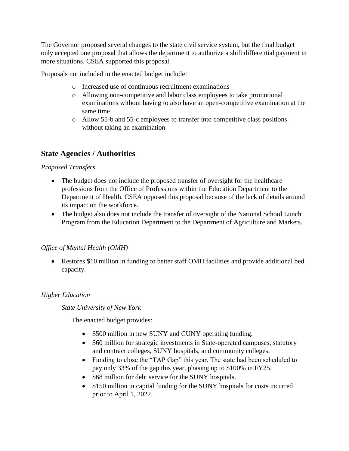The Governor proposed several changes to the state civil service system, but the final budget only accepted one proposal that allows the department to authorize a shift differential payment in more situations. CSEA supported this proposal.

Proposals not included in the enacted budget include:

- o Increased use of continuous recruitment examinations
- o Allowing non-competitive and labor class employees to take promotional examinations without having to also have an open-competitive examination at the same time
- o Allow 55-b and 55-c employees to transfer into competitive class positions without taking an examination

# **State Agencies / Authorities**

### *Proposed Transfers*

- The budget does not include the proposed transfer of oversight for the healthcare professions from the Office of Professions within the Education Department to the Department of Health. CSEA opposed this proposal because of the lack of details around its impact on the workforce.
- The budget also does not include the transfer of oversight of the National School Lunch Program from the Education Department to the Department of Agriculture and Markets.

# *Office of Mental Health (OMH)*

• Restores \$10 million in funding to better staff OMH facilities and provide additional bed capacity.

# *Higher Education*

*State University of New York*

The enacted budget provides:

- \$500 million in new SUNY and CUNY operating funding.
- \$60 million for strategic investments in State-operated campuses, statutory and contract colleges, SUNY hospitals, and community colleges.
- Funding to close the "TAP Gap" this year. The state had been scheduled to pay only 33% of the gap this year, phasing up to \$100% in FY25.
- \$68 million for debt service for the SUNY hospitals.
- \$150 million in capital funding for the SUNY hospitals for costs incurred prior to April 1, 2022.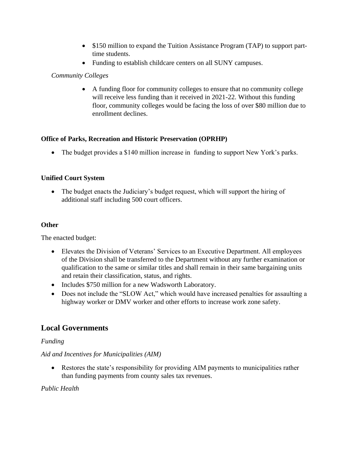- \$150 million to expand the Tuition Assistance Program (TAP) to support parttime students.
- Funding to establish childcare centers on all SUNY campuses.

### *Community Colleges*

• A funding floor for community colleges to ensure that no community college will receive less funding than it received in 2021-22. Without this funding floor, community colleges would be facing the loss of over \$80 million due to enrollment declines.

### **Office of Parks, Recreation and Historic Preservation (OPRHP)**

• The budget provides a \$140 million increase in funding to support New York's parks.

### **Unified Court System**

• The budget enacts the Judiciary's budget request, which will support the hiring of additional staff including 500 court officers.

#### **Other**

The enacted budget:

- Elevates the Division of Veterans' Services to an Executive Department. All employees of the Division shall be transferred to the Department without any further examination or qualification to the same or similar titles and shall remain in their same bargaining units and retain their classification, status, and rights.
- Includes \$750 million for a new Wadsworth Laboratory.
- Does not include the "SLOW Act," which would have increased penalties for assaulting a highway worker or DMV worker and other efforts to increase work zone safety.

# **Local Governments**

#### *Funding*

# *Aid and Incentives for Municipalities (AIM)*

• Restores the state's responsibility for providing AIM payments to municipalities rather than funding payments from county sales tax revenues.

# *Public Health*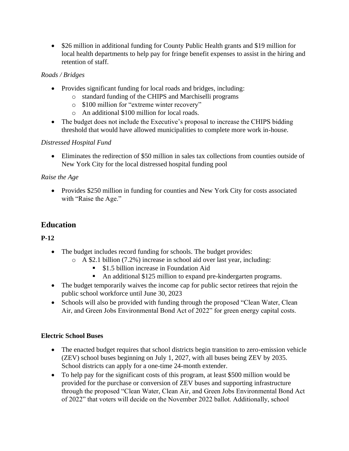• \$26 million in additional funding for County Public Health grants and \$19 million for local health departments to help pay for fringe benefit expenses to assist in the hiring and retention of staff.

# *Roads / Bridges*

- Provides significant funding for local roads and bridges, including:
	- o standard funding of the CHIPS and Marchiselli programs
	- o \$100 million for "extreme winter recovery"
	- o An additional \$100 million for local roads.
- The budget does not include the Executive's proposal to increase the CHIPS bidding threshold that would have allowed municipalities to complete more work in-house.

# *Distressed Hospital Fund*

• Eliminates the redirection of \$50 million in sales tax collections from counties outside of New York City for the local distressed hospital funding pool

# *Raise the Age*

• Provides \$250 million in funding for counties and New York City for costs associated with "Raise the Age."

# **Education**

# **P-12**

- The budget includes record funding for schools. The budget provides:
	- o A \$2.1 billion (7.2%) increase in school aid over last year, including:
		- \$1.5 billion increase in Foundation Aid
		- An additional \$125 million to expand pre-kindergarten programs.
- The budget temporarily waives the income cap for public sector retirees that rejoin the public school workforce until June 30, 2023
- Schools will also be provided with funding through the proposed "Clean Water, Clean Air, and Green Jobs Environmental Bond Act of 2022" for green energy capital costs.

# **Electric School Buses**

- The enacted budget requires that school districts begin transition to zero-emission vehicle (ZEV) school buses beginning on July 1, 2027, with all buses being ZEV by 2035. School districts can apply for a one-time 24-month extender.
- To help pay for the significant costs of this program, at least \$500 million would be provided for the purchase or conversion of ZEV buses and supporting infrastructure through the proposed "Clean Water, Clean Air, and Green Jobs Environmental Bond Act of 2022" that voters will decide on the November 2022 ballot. Additionally, school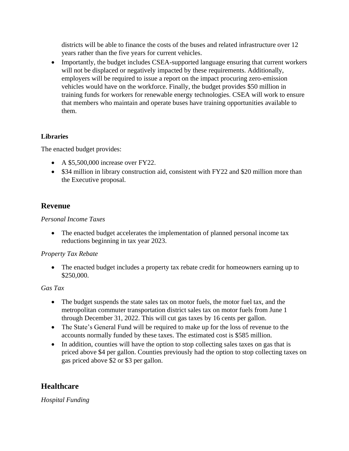districts will be able to finance the costs of the buses and related infrastructure over 12 years rather than the five years for current vehicles.

• Importantly, the budget includes CSEA-supported language ensuring that current workers will not be displaced or negatively impacted by these requirements. Additionally, employers will be required to issue a report on the impact procuring zero-emission vehicles would have on the workforce. Finally, the budget provides \$50 million in training funds for workers for renewable energy technologies. CSEA will work to ensure that members who maintain and operate buses have training opportunities available to them.

# **Libraries**

The enacted budget provides:

- A \$5,500,000 increase over FY22.
- \$34 million in library construction aid, consistent with FY22 and \$20 million more than the Executive proposal.

# **Revenue**

### *Personal Income Taxes*

• The enacted budget accelerates the implementation of planned personal income tax reductions beginning in tax year 2023.

# *Property Tax Rebate*

• The enacted budget includes a property tax rebate credit for homeowners earning up to \$250,000.

# *Gas Tax*

- The budget suspends the state sales tax on motor fuels, the motor fuel tax, and the metropolitan commuter transportation district sales tax on motor fuels from June 1 through December 31, 2022. This will cut gas taxes by 16 cents per gallon.
- The State's General Fund will be required to make up for the loss of revenue to the accounts normally funded by these taxes. The estimated cost is \$585 million.
- In addition, counties will have the option to stop collecting sales taxes on gas that is priced above \$4 per gallon. Counties previously had the option to stop collecting taxes on gas priced above \$2 or \$3 per gallon.

# **Healthcare**

*Hospital Funding*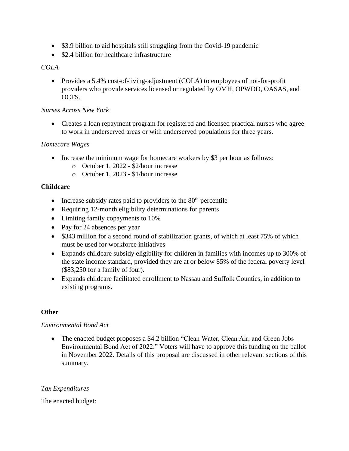- \$3.9 billion to aid hospitals still struggling from the Covid-19 pandemic
- \$2.4 billion for healthcare infrastructure

#### *COLA*

• Provides a 5.4% cost-of-living-adjustment (COLA) to employees of not-for-profit providers who provide services licensed or regulated by OMH, OPWDD, OASAS, and OCFS.

#### *Nurses Across New York*

• Creates a loan repayment program for registered and licensed practical nurses who agree to work in underserved areas or with underserved populations for three years.

#### *Homecare Wages*

- Increase the minimum wage for homecare workers by \$3 per hour as follows:
	- o October 1, 2022 \$2/hour increase
	- o October 1, 2023 \$1/hour increase

#### **Childcare**

- Increase subsidy rates paid to providers to the  $80<sup>th</sup>$  percentile
- Requiring 12-month eligibility determinations for parents
- Limiting family copayments to 10%
- Pay for 24 absences per year
- \$343 million for a second round of stabilization grants, of which at least 75% of which must be used for workforce initiatives
- Expands childcare subsidy eligibility for children in families with incomes up to 300% of the state income standard, provided they are at or below 85% of the federal poverty level (\$83,250 for a family of four).
- Expands childcare facilitated enrollment to Nassau and Suffolk Counties, in addition to existing programs.

# **Other**

#### *Environmental Bond Act*

• The enacted budget proposes a \$4.2 billion "Clean Water, Clean Air, and Green Jobs Environmental Bond Act of 2022." Voters will have to approve this funding on the ballot in November 2022. Details of this proposal are discussed in other relevant sections of this summary.

#### *Tax Expenditures*

The enacted budget: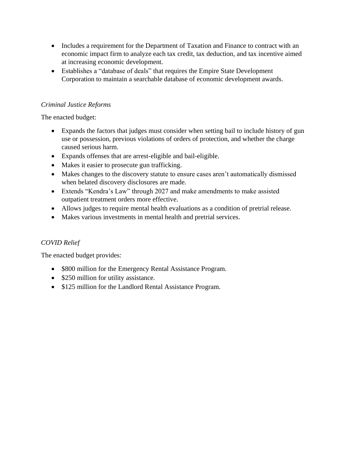- Includes a requirement for the Department of Taxation and Finance to contract with an economic impact firm to analyze each tax credit, tax deduction, and tax incentive aimed at increasing economic development.
- Establishes a "database of deals" that requires the Empire State Development Corporation to maintain a searchable database of economic development awards.

### *Criminal Justice Reforms*

The enacted budget:

- Expands the factors that judges must consider when setting bail to include history of gun use or possession, previous violations of orders of protection, and whether the charge caused serious harm.
- Expands offenses that are arrest-eligible and bail-eligible.
- Makes it easier to prosecute gun trafficking.
- Makes changes to the discovery statute to ensure cases aren't automatically dismissed when belated discovery disclosures are made.
- Extends "Kendra's Law" through 2027 and make amendments to make assisted outpatient treatment orders more effective.
- Allows judges to require mental health evaluations as a condition of pretrial release.
- Makes various investments in mental health and pretrial services.

# *COVID Relief*

The enacted budget provides:

- \$800 million for the Emergency Rental Assistance Program.
- \$250 million for utility assistance.
- \$125 million for the Landlord Rental Assistance Program.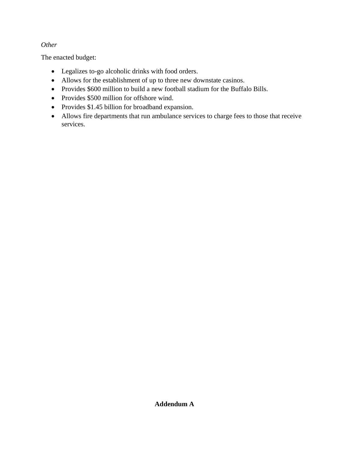### *Other*

The enacted budget:

- Legalizes to-go alcoholic drinks with food orders.
- Allows for the establishment of up to three new downstate casinos.
- Provides \$600 million to build a new football stadium for the Buffalo Bills.
- Provides \$500 million for offshore wind.
- Provides \$1.45 billion for broadband expansion.
- Allows fire departments that run ambulance services to charge fees to those that receive services.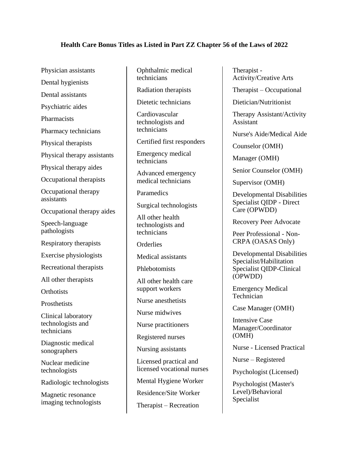#### **Health Care Bonus Titles as Listed in Part ZZ Chapter 56 of the Laws of 2022**

Physician assistants

Dental hygienists

Dental assistants

Psychiatric aides

**Pharmacists** 

Pharmacy technicians

Physical therapists

Physical therapy assistants

Physical therapy aides

Occupational therapists

Occupational therapy assistants

Occupational therapy aides

Speech-language pathologists

Respiratory therapists

Exercise physiologists

Recreational therapists

All other therapists

**Orthotists** 

**Prosthetists** 

Clinical laboratory technologists and technicians

Diagnostic medical sonographers

Nuclear medicine technologists

Radiologic technologists

Magnetic resonance imaging technologists Ophthalmic medical technicians

Radiation therapists

Dietetic technicians

Cardiovascular technologists and technicians

Certified first responders

Emergency medical technicians

Advanced emergency medical technicians

**Paramedics** 

Surgical technologists

All other health technologists and technicians

**Orderlies** 

Medical assistants

Phlebotomists

All other health care support workers

Nurse anesthetists

Nurse midwives

Nurse practitioners

Registered nurses

Nursing assistants

Licensed practical and licensed vocational nurses

Mental Hygiene Worker

Residence/Site Worker

Therapist – Recreation

Therapist - Activity/Creative Arts

Therapist – Occupational

Dietician/Nutritionist

Therapy Assistant/Activity Assistant

Nurse's Aide/Medical Aide

Counselor (OMH)

Manager (OMH)

Senior Counselor (OMH)

Supervisor (OMH)

Developmental Disabilities Specialist QIDP - Direct Care (OPWDD)

Recovery Peer Advocate

Peer Professional - Non-CRPA (OASAS Only)

Developmental Disabilities Specialist/Habilitation Specialist QIDP-Clinical (OPWDD)

Emergency Medical Technician

Case Manager (OMH)

Intensive Case Manager/Coordinator (OMH)

Nurse - Licensed Practical

Nurse – Registered

Psychologist (Licensed)

Psychologist (Master's Level)/Behavioral Specialist